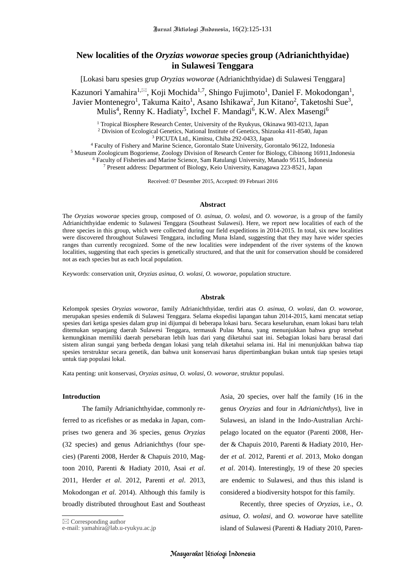# **New localities of the** *Oryzias woworae* **species group (Adrianichthyidae) in Sulawesi Tenggara**

[Lokasi baru spesies grup *Oryzias woworae* (Adrianichthyidae) di Sulawesi Tenggara]

Kazunori Yamahira<sup>1, $\boxtimes$ </sup>, Koji Mochida<sup>1,7</sup>, Shingo Fujimoto<sup>1</sup>, Daniel F. Mokodongan<sup>1</sup>, Javier Montenegro<sup>1</sup>, Takuma Kaito<sup>1</sup>, Asano Ishikawa<sup>2</sup>, Jun Kitano<sup>2</sup>, Taketoshi Sue<sup>3</sup>, Mulis<sup>4</sup>, Renny K. Hadiaty<sup>5</sup>, Ixchel F. Mandagi<sup>6</sup>, K.W. Alex Masengi<sup>6</sup>

<sup>1</sup> Tropical Biosphere Research Center, University of the Ryukyus, Okinawa 903-0213, Japan <sup>2</sup> Division of Ecological Genetics, National Institute of Genetics, Shizuoka 411-8540, Japan <sup>3</sup> PICUTA Ltd., Kimitsu, Chiba 292-0433, Japan

 Faculty of Fishery and Marine Science, Gorontalo State University, Gorontalo 96122, Indonesia Museum Zoologicum Bogoriense, Zoology Division of Research Center for Biology, Cibinong 16911,Indonesia Faculty of Fisheries and Marine Science, Sam Ratulangi University, Manado 95115, Indonesia Present address: Department of Biology, Keio University, Kanagawa 223-8521, Japan

Received: 07 Desember 2015, Accepted: 09 Februari 2016

#### **Abstract**

The *Oryzias woworae* species group, composed of *O. asinua*, *O. wolasi*, and *O. woworae*, is a group of the family Adrianichthyidae endemic to Sulawesi Tenggara (Southeast Sulawesi). Here, we report new localities of each of the three species in this group, which were collected during our field expeditions in 2014-2015. In total, six new localities were discovered throughout Sulawesi Tenggara, including Muna Island, suggesting that they may have wider species ranges than currently recognized. Some of the new localities were independent of the river systems of the known localities, suggesting that each species is genetically structured, and that the unit for conservation should be considered not as each species but as each local population.

Keywords: conservation unit, *Oryzias asinua*, *O. wolasi*, *O. woworae*, population structure.

#### **Abstrak**

Kelompok spesies *Oryzias woworae*, family Adrianichthyidae, terdiri atas *O. asinua*, *O. wolasi*, dan *O. woworae*, merupakan spesies endemik di Sulawesi Tenggara. Selama ekspedisi lapangan tahun 2014-2015, kami mencatat setiap spesies dari ketiga spesies dalam grup ini dijumpai di beberapa lokasi baru. Secara keseluruhan, enam lokasi baru telah ditemukan sepanjang daerah Sulawesi Tenggara, termasuk Pulau Muna, yang menunjukkan bahwa grup tersebut kemungkinan memiliki daerah persebaran lebih luas dari yang diketahui saat ini. Sebagian lokasi baru berasal dari sistem aliran sungai yang berbeda dengan lokasi yang telah diketahui selama ini. Hal ini menunjukkan bahwa tiap spesies terstruktur secara genetik, dan bahwa unit konservasi harus dipertimbangkan bukan untuk tiap spesies tetapi untuk tiap populasi lokal.

Kata penting: unit konservasi, *Oryzias asinua*, *O. wolasi*, *O. woworae*, struktur populasi.

### **Introduction**

The family Adrianichthyidae, commonly referred to as ricefishes or as medaka in Japan, comprises two genera and 36 species, genus *Oryzias* (32 species) and genus Adrianichthys (four species) (Parenti 2008, Herder & Chapuis 2010, Magtoon 2010, Parenti & Hadiaty 2010, Asai *et al*. 2011, Herder *et al*. 2012, Parenti *et al*. 2013, Mokodongan *et al.* 2014). Although this family is broadly distributed throughout East and Southeast

Asia, 20 species, over half the family (16 in the genus *Oryzias* and four in *Adrianichthys*), live in Sulawesi, an island in the Indo-Australian Archipelago located on the equator (Parenti 2008, Herder & Chapuis 2010, Parenti & Hadiaty 2010, Herder *et al.* 2012, Parenti *et al*. 2013, Moko dongan *et al*. 2014). Interestingly, 19 of these 20 species are endemic to Sulawesi, and thus this island is considered a biodiversity hotspot for this family.

Recently, three species of *Oryzias*, i.e., *O. asinua*, *O. wolasi*, and *O. woworae* have satellite island of Sulawesi (Parenti & Hadiaty 2010, Paren-

 $\boxtimes$  Corresponding author

e-mail: yamahira@lab.u-ryukyu.ac.jp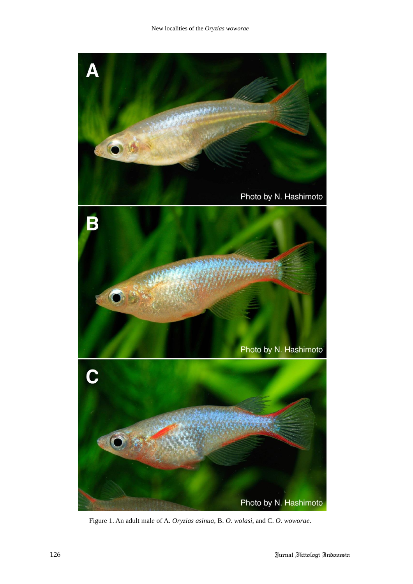

Figure 1. An adult male of A. *Oryzias asinua*, B. *O. wolasi*, and C. *O. woworae*.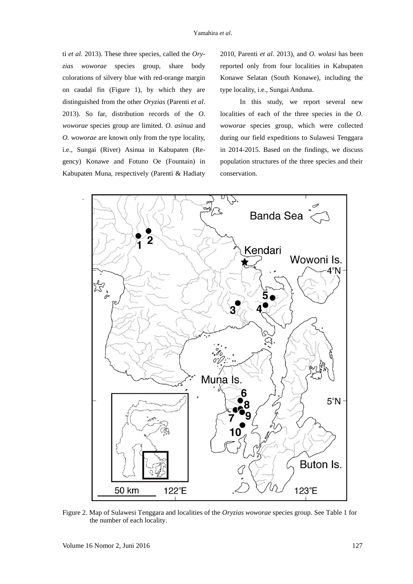ti *et al.* 2013). These three species, called the *Oryzias woworae* species group, share body colorations of silvery blue with red-orange margin on caudal fin (Figure 1), by which they are distinguished from the other *Oryzias* (Parenti *et al*. 2013). So far, distribution records of the *O. woworae* species group are limited. *O. asinua* and *O. woworae* are known only from the type locality, i.e., Sungai (River) Asinua in Kabupaten (Regency) Konawe and Fotuno Oe (Fountain) in Kabupaten Muna, respectively (Parenti & Hadiaty 2010, Parenti *et al*. 2013), and *O. wolasi* has been reported only from four localities in Kabupaten Konawe Selatan (South Konawe), including the type locality, i.e., Sungai Anduna.

In this study, we report several new localities of each of the three species in the *O. woworae* species group, which were collected during our field expeditions to Sulawesi Tenggara in 2014-2015. Based on the findings, we discuss population structures of the three species and their conservation.



Figure 2. Map of Sulawesi Tenggara and localities of the *Oryzias woworae* species group. See Table 1 for the number of each locality.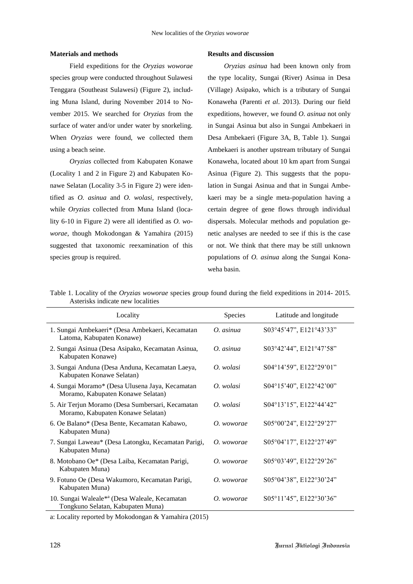## **Materials and methods**

Field expeditions for the *Oryzias woworae* species group were conducted throughout Sulawesi Tenggara (Southeast Sulawesi) (Figure 2), including Muna Island, during November 2014 to November 2015. We searched for *Oryzias* from the surface of water and/or under water by snorkeling. When *Oryzias* were found, we collected them using a beach seine.

*Oryzias* collected from Kabupaten Konawe (Locality 1 and 2 in Figure 2) and Kabupaten Konawe Selatan (Locality 3-5 in Figure 2) were identified as *O. asinua* and *O. wolasi*, respectively, while *Oryzias* collected from Muna Island (locality 6-10 in Figure 2) were all identified as *O. woworae*, though Mokodongan & Yamahira (2015) suggested that taxonomic reexamination of this species group is required.

# **Results and discussion**

*Oryzias asinua* had been known only from the type locality, Sungai (River) Asinua in Desa (Village) Asipako, which is a tributary of Sungai Konaweha (Parenti *et al*. 2013). During our field expeditions, however, we found *O. asinua* not only in Sungai Asinua but also in Sungai Ambekaeri in Desa Ambekaeri (Figure 3A, B, Table 1). Sungai Ambekaeri is another upstream tributary of Sungai Konaweha, located about 10 km apart from Sungai Asinua (Figure 2). This suggests that the population in Sungai Asinua and that in Sungai Ambekaeri may be a single meta-population having a certain degree of gene flows through individual dispersals. Molecular methods and population genetic analyses are needed to see if this is the case or not. We think that there may be still unknown populations of *O. asinua* along the Sungai Konaweha basin.

Table 1. Locality of the *Oryzias woworae* species group found during the field expeditions in 2014- 2015. Asterisks indicate new localities

| Locality                                                                              | Species           | Latitude and longitude  |
|---------------------------------------------------------------------------------------|-------------------|-------------------------|
| 1. Sungai Ambekaeri* (Desa Ambekaeri, Kecamatan<br>Latoma, Kabupaten Konawe)          | $\Omega$ . asinua | S03°45'47", E121°43'33" |
| 2. Sungai Asinua (Desa Asipako, Kecamatan Asinua,<br>Kabupaten Konawe)                | O. as inua        | S03°42'44", E121°47'58" |
| 3. Sungai Anduna (Desa Anduna, Kecamatan Laeya,<br>Kabupaten Konawe Selatan)          | O. wolasi         | S04°14'59", E122°29'01" |
| 4. Sungai Moramo* (Desa Ulusena Jaya, Kecamatan<br>Moramo, Kabupaten Konawe Selatan)  | O. wolasi         | S04°15'40", E122°42'00" |
| 5. Air Terjun Moramo (Desa Sumbersari, Kecamatan<br>Moramo, Kabupaten Konawe Selatan) | O. wolasi         | S04°13'15", E122°44'42" |
| 6. Oe Balano* (Desa Bente, Kecamatan Kabawo,<br>Kabupaten Muna)                       | O. woworae        | S05°00'24", E122°29'27" |
| 7. Sungai Laweau* (Desa Latongku, Kecamatan Parigi,<br>Kabupaten Muna)                | O. woworae        | S05°04'17", E122°27'49" |
| 8. Motobano Oe* (Desa Laiba, Kecamatan Parigi,<br>Kabupaten Muna)                     | O. woworae        | S05°03'49", E122°29'26" |
| 9. Fotuno Oe (Desa Wakumoro, Kecamatan Parigi,<br>Kabupaten Muna)                     | O. woworae        | S05°04'38", E122°30'24" |
| 10. Sungai Waleale*a (Desa Waleale, Kecamatan<br>Tongkuno Selatan, Kabupaten Muna)    | O. woworae        | S05°11'45", E122°30'36" |

a: Locality reported by Mokodongan & Yamahira (2015)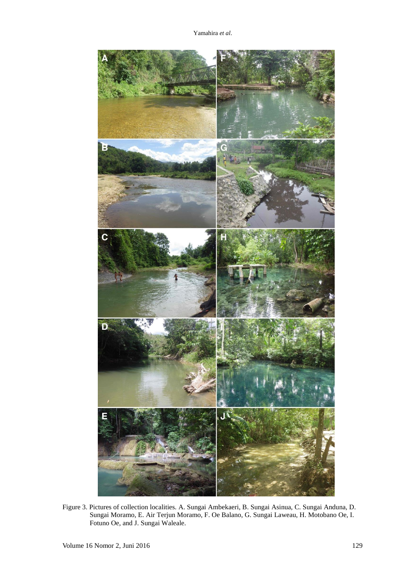Yamahira *et al*.



Figure 3. Pictures of collection localities. A. Sungai Ambekaeri, B. Sungai Asinua, C. Sungai Anduna, D. Sungai Moramo, E. Air Terjun Moramo, F. Oe Balano, G. Sungai Laweau, H. Motobano Oe, I. Fotuno Oe, and J. Sungai Waleale.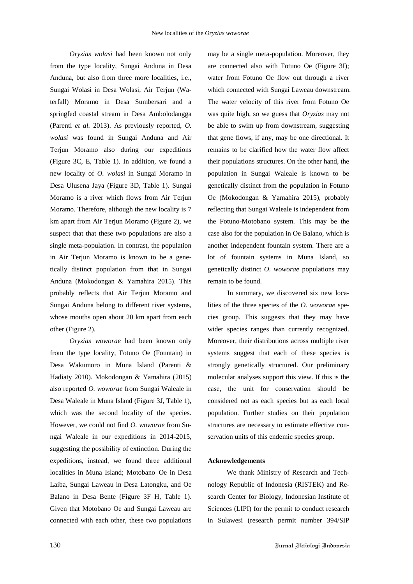*Oryzias wolasi* had been known not only from the type locality, Sungai Anduna in Desa Anduna, but also from three more localities, i.e., Sungai Wolasi in Desa Wolasi, Air Terjun (Waterfall) Moramo in Desa Sumbersari and a springfed coastal stream in Desa Ambolodangga (Parenti *et al.* 2013). As previously reported, *O. wolasi* was found in Sungai Anduna and Air Terjun Moramo also during our expeditions (Figure 3C, E, Table 1). In addition, we found a new locality of *O. wolasi* in Sungai Moramo in Desa Ulusena Jaya (Figure 3D, Table 1). Sungai Moramo is a river which flows from Air Terjun Moramo. Therefore, although the new locality is 7 km apart from Air Terjun Moramo (Figure 2), we suspect that that these two populations are also a single meta-population. In contrast, the population in Air Terjun Moramo is known to be a genetically distinct population from that in Sungai Anduna (Mokodongan & Yamahira 2015). This probably reflects that Air Terjun Moramo and Sungai Anduna belong to different river systems, whose mouths open about 20 km apart from each other (Figure 2).

*Oryzias woworae* had been known only from the type locality, Fotuno Oe (Fountain) in Desa Wakumoro in Muna Island (Parenti & Hadiaty 2010). Mokodongan & Yamahira (2015) also reported *O. woworae* from Sungai Waleale in Desa Waleale in Muna Island (Figure 3J, Table 1), which was the second locality of the species. However, we could not find *O. woworae* from Sungai Waleale in our expeditions in 2014-2015, suggesting the possibility of extinction. During the expeditions, instead, we found three additional localities in Muna Island; Motobano Oe in Desa Laiba, Sungai Laweau in Desa Latongku, and Oe Balano in Desa Bente (Figure 3F–H, Table 1). Given that Motobano Oe and Sungai Laweau are connected with each other, these two populations

may be a single meta-population. Moreover, they are connected also with Fotuno Oe (Figure 3I); water from Fotuno Oe flow out through a river which connected with Sungai Laweau downstream. The water velocity of this river from Fotuno Oe was quite high, so we guess that *Oryzias* may not be able to swim up from downstream, suggesting that gene flows, if any, may be one directional. It remains to be clarified how the water flow affect their populations structures. On the other hand, the population in Sungai Waleale is known to be genetically distinct from the population in Fotuno Oe (Mokodongan & Yamahira 2015), probably reflecting that Sungai Waleale is independent from the Fotuno-Motobano system. This may be the case also for the population in Oe Balano, which is another independent fountain system. There are a lot of fountain systems in Muna Island, so genetically distinct *O. woworae* populations may remain to be found.

In summary, we discovered six new localities of the three species of the *O. woworae* species group. This suggests that they may have wider species ranges than currently recognized. Moreover, their distributions across multiple river systems suggest that each of these species is strongly genetically structured. Our preliminary molecular analyses support this view. If this is the case, the unit for conservation should be considered not as each species but as each local population. Further studies on their population structures are necessary to estimate effective conservation units of this endemic species group.

## **Acknowledgements**

We thank Ministry of Research and Technology Republic of Indonesia (RISTEK) and Research Center for Biology, Indonesian Institute of Sciences (LIPI) for the permit to conduct research in Sulawesi (research permit number 394/SIP